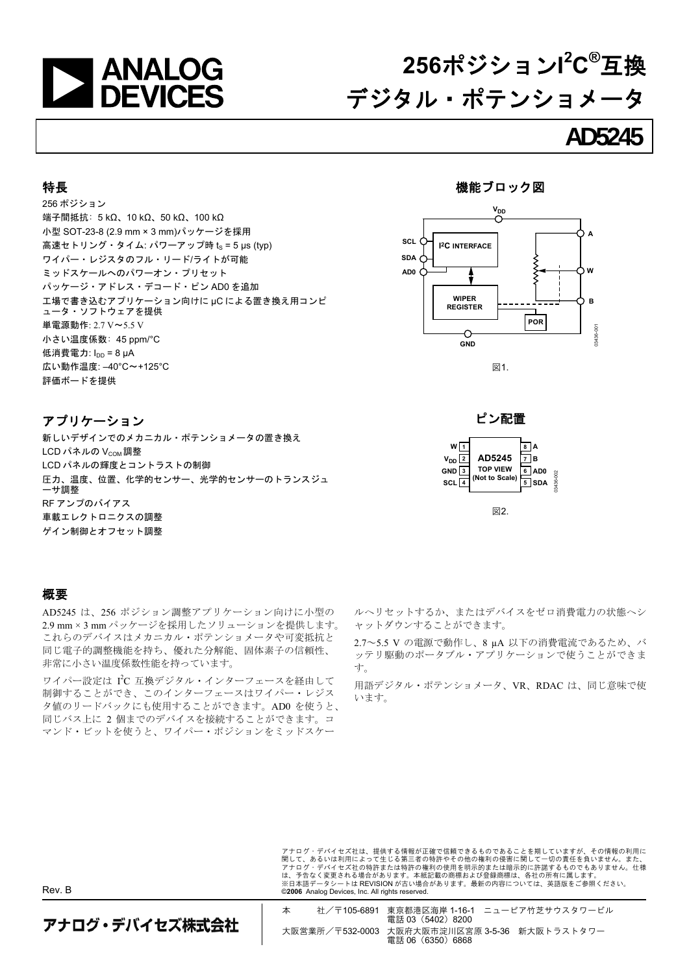# **ANALOG<br>DEVICES**

## **256**ポジション**I 2 C®**互換 デジタル・ポテンショメータ

## **AD5245**

#### <span id="page-0-0"></span>特長

256 ポジション 端子間抵抗: 5 kΩ、10 kΩ、50 kΩ、100 kΩ 小型 SOT-23-8 (2.9 mm × 3 mm)パッケージを採用 高速セトリング・タイム: パワーアップ時 ts = 5 µs (typ) ワイパー・レジスタのフル・リード/ライトが可能 ミッドスケールへのパワーオン・プリセット パッケージ・アドレス・デコード・ピン AD0 を追加 工場で書き込むアプリケーション向けに µC による置き換え用コンピ ュータ・ソフトウェアを提供 単電源動作: 2.7 V~5.5 V 小さい温度係数: 45 ppm/°C 低消費電力: I<sub>DD</sub> = 8 μA 広い動作温度: –40°C~+125°C 評価ボードを提供

機能ブロック図



図1.

#### <span id="page-0-2"></span><span id="page-0-1"></span>アプリケーション

新しいデザインでのメカニカル・ポテンショメータの置き換え LCD パネルの Vcow 調整 LCD パネルの輝度とコントラストの制御 圧力、温度、位置、化学的センサー、光学的センサーのトランスジュ ーサ調整 RF アンプのバイアス 車載エレクトロニクスの調整 ゲイン制御とオフセット調整





図2.

#### <span id="page-0-3"></span>概要

AD5245 は、256 ポジション調整アプリケーション向けに小型の 2.9 mm × 3 mm パッケージを採用したソリューションを提供します。 これらのデバイスはメカニカル・ポテンショメータや可変抵抗と 同じ電子的調整機能を持ち、優れた分解能、固体素子の信頼性、 非常に小さい温度係数性能を持っています。

ワイパー設定は I2C 互換デジタル・インターフェースを経由して 制御することができ、このインターフェースはワイパー・レジス タ値のリードバックにも使用することができます。AD0 を使うと、 同じバス上に 2 個までのデバイスを接続することができます。コ マンド・ビットを使うと、ワイパー・ポジションをミッドスケー

ルへリセットするか、またはデバイスをゼロ消費電力の状態へシ ャットダウンすることができます。

2.7~5.5 V の電源で動作し、8 µA 以下の消費電流であるため、バ ッテリ駆動のポータブル・アプリケーションで使うことができま す。

用語デジタル・ポテンショメータ、VR、RDAC は、同じ意味で使 います。

アナログ・デバイセズ社は、提供する情報が正確で信頼できるものであることを期していますが、その情報の利用に<br>関して、あるいは利用によって生じる第三者の特許やその他の権利の侵害に関して一切の責任を負いません。また、<br>アナログ・デバイセズ社の特許または特許の権利の使用を明示的または暗示的に許諾するものでもありません。仕様 は、予告なく変更される場合があります。本紙記載の商標および登録商標は、各社の所有に属します。 ※日本語データシートは REVISION が古い場合があります。最新の内容については、英語版をご参照ください。 ©**2006** Analog Devices, Inc. All rights reserved.

Rev. B

アナログ・デバイセズ株式会社

本 社/〒105-6891 東京都港区海岸 1-16-1 ニューピア竹芝サウスタワービル 雷話 03 (5402) 8200 大阪営業所/〒532-0003 大阪府大阪市淀川区宮原 3-5-36 新大阪トラストタワー 電話 06 (6350) 6868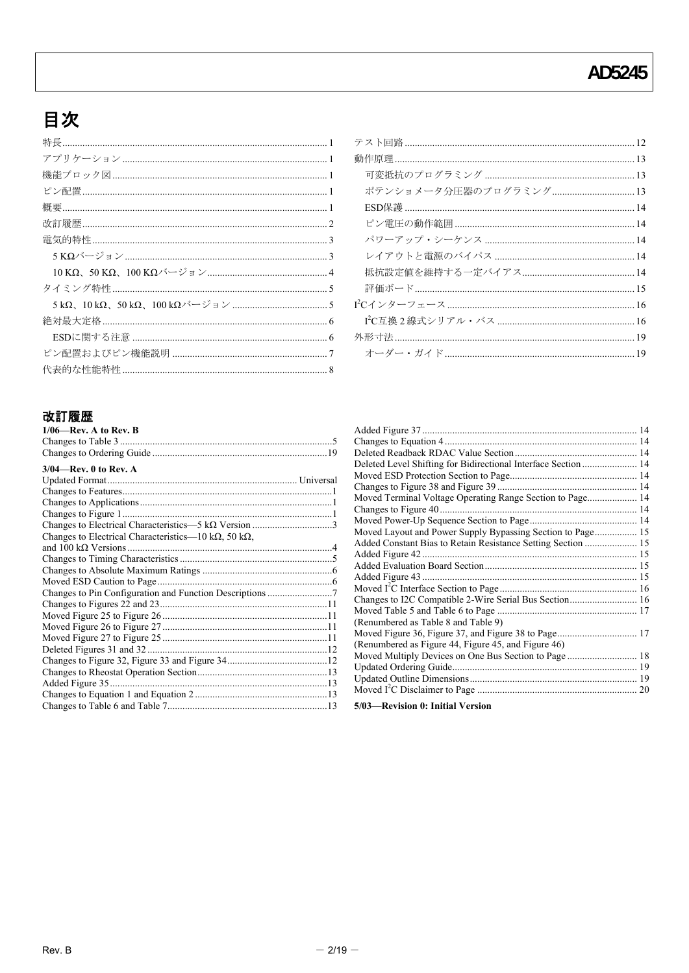## 目次

| ポテンショメータ分圧器のプログラミング  13                 |  |
|-----------------------------------------|--|
|                                         |  |
|                                         |  |
|                                         |  |
|                                         |  |
|                                         |  |
|                                         |  |
|                                         |  |
|                                         |  |
| 外形寸法………………………………………………………………………………………19 |  |
|                                         |  |
|                                         |  |

#### <span id="page-1-0"></span>改訂履歴

| $1/06$ —Rev. A to Rev. B                                              |  |
|-----------------------------------------------------------------------|--|
|                                                                       |  |
|                                                                       |  |
| $3/04$ —Rev. 0 to Rev. A                                              |  |
|                                                                       |  |
|                                                                       |  |
|                                                                       |  |
|                                                                       |  |
| Changes to Electrical Characteristics-5 $k\Omega$ Version 3           |  |
| Changes to Electrical Characteristics—10 k $\Omega$ , 50 k $\Omega$ , |  |
|                                                                       |  |
|                                                                       |  |
|                                                                       |  |
|                                                                       |  |
|                                                                       |  |
|                                                                       |  |
|                                                                       |  |
|                                                                       |  |
|                                                                       |  |
|                                                                       |  |
|                                                                       |  |
|                                                                       |  |
|                                                                       |  |
|                                                                       |  |
|                                                                       |  |

| Deleted Level Shifting for Bidirectional Interface Section  14 |  |
|----------------------------------------------------------------|--|
|                                                                |  |
|                                                                |  |
| Moved Terminal Voltage Operating Range Section to Page 14      |  |
|                                                                |  |
|                                                                |  |
|                                                                |  |
| Added Constant Bias to Retain Resistance Setting Section  15   |  |
| Added Figure 42.                                               |  |
|                                                                |  |
|                                                                |  |
|                                                                |  |
|                                                                |  |
|                                                                |  |
| (Renumbered as Table 8 and Table 9)                            |  |
|                                                                |  |
| (Renumbered as Figure 44, Figure 45, and Figure 46)            |  |
| Moved Multiply Devices on One Bus Section to Page  18          |  |
|                                                                |  |
|                                                                |  |
|                                                                |  |
| $\mathbb{F}/(2\pi)$ is a reduced by $\mathbb{F}/(2\pi)$        |  |

5/03-Revision 0: Initial Version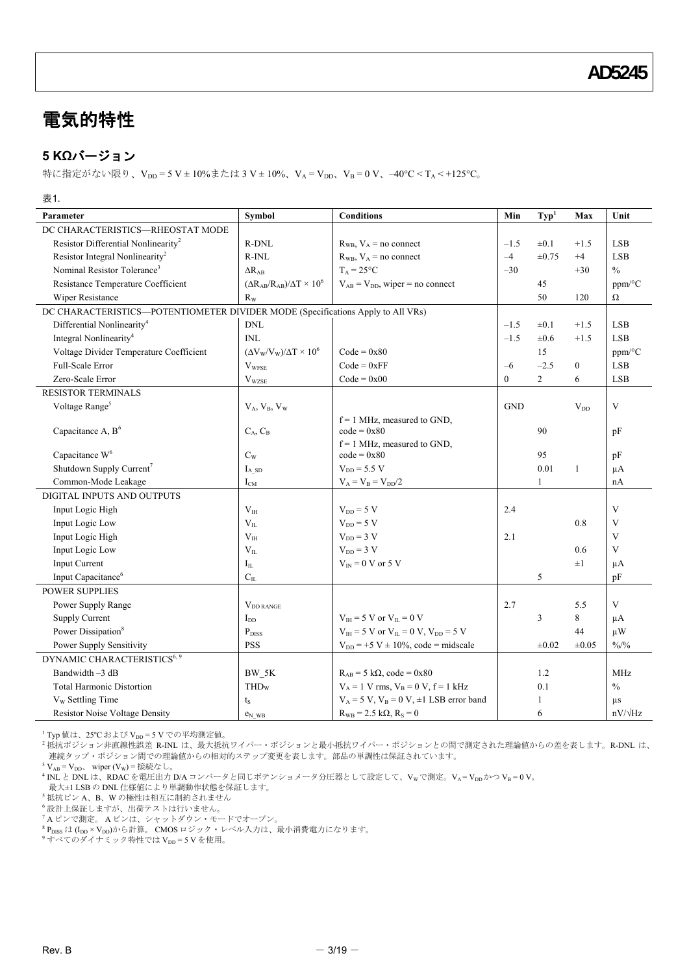## <span id="page-2-0"></span>電気的特性

## <span id="page-2-1"></span>**5 KΩ**バージョン

特に指定がない限り、V<sub>DD</sub> = 5 V ± 10%または 3 V ± 10%、V<sub>A</sub> = V<sub>DD</sub>、V<sub>B</sub> = 0 V、-40°C < T<sub>A</sub> < +125°C。

表1.

<span id="page-2-2"></span>

| Parameter                                                                       | <b>Symbol</b>                                 | <b>Conditions</b>                                  | Min          | $\mathbf{Typ}^1$     | Max              | Unit           |
|---------------------------------------------------------------------------------|-----------------------------------------------|----------------------------------------------------|--------------|----------------------|------------------|----------------|
| DC CHARACTERISTICS-RHEOSTAT MODE                                                |                                               |                                                    |              |                      |                  |                |
| Resistor Differential Nonlinearity <sup>2</sup>                                 | R-DNL                                         | $R_{WB}$ , $V_A$ = no connect                      | $-1.5$       | $\pm 0.1$            | $+1.5$           | <b>LSB</b>     |
| Resistor Integral Nonlinearity <sup>2</sup>                                     | $R$ -INL                                      | $R_{WB}$ , $V_A$ = no connect                      | $-4$         | $\pm 0.75$           | $+4$             | <b>LSB</b>     |
| Nominal Resistor Tolerance <sup>3</sup>                                         | $\Delta R_{AB}$                               | $T_A = 25^{\circ}C$                                | $-30$        |                      | $+30$            | $\frac{0}{0}$  |
| Resistance Temperature Coefficient                                              | $(\Delta R_{AB}/R_{AB})/\Delta T \times 10^6$ | $V_{AB} = V_{DD}$ , wiper = no connect             |              | 45                   |                  | ppm/°C         |
| Wiper Resistance                                                                | $R_{W}$                                       |                                                    |              | 50                   | 120              | $\Omega$       |
| DC CHARACTERISTICS—POTENTIOMETER DIVIDER MODE (Specifications Apply to All VRs) |                                               |                                                    |              |                      |                  |                |
| Differential Nonlinearity <sup>4</sup>                                          | <b>DNL</b>                                    |                                                    | $-1.5$       | $\pm 0.1$            | $+1.5$           | <b>LSB</b>     |
| Integral Nonlinearity <sup>4</sup>                                              | <b>INL</b>                                    |                                                    | $-1.5$       | $\pm 0.6$            | $+1.5$           | <b>LSB</b>     |
| Voltage Divider Temperature Coefficient                                         | $(\Delta V_{W}/V_{W})/\Delta T \times 10^{6}$ | $Code = 0x80$                                      |              | 15                   |                  | ppm/°C         |
| Full-Scale Error                                                                | $V_{WFSE}$                                    | $Code = 0xFF$                                      | $-6$         | $-2.5$               | $\boldsymbol{0}$ | <b>LSB</b>     |
| Zero-Scale Error                                                                | $\rm V_{\rm WZSE}$                            | $Code = 0x00$                                      | $\mathbf{0}$ | $\overline{c}$       | 6                | <b>LSB</b>     |
| <b>RESISTOR TERMINALS</b>                                                       |                                               |                                                    |              |                      |                  |                |
| Voltage Range <sup>5</sup>                                                      | $V_A$ , $V_B$ , $V_W$                         |                                                    | <b>GND</b>   |                      | $V_{DD}$         | V              |
|                                                                                 |                                               | $f = 1$ MHz, measured to GND,                      |              |                      |                  |                |
| Capacitance A, B <sup>6</sup>                                                   | $C_A, C_B$                                    | $code = 0x80$                                      |              | 90                   |                  | pF             |
|                                                                                 |                                               | $f = 1$ MHz, measured to GND,                      |              |                      |                  |                |
| Capacitance W <sup>6</sup>                                                      | $C_{W}$                                       | $code = 0x80$                                      |              | 95                   |                  | pF             |
| Shutdown Supply Current <sup>7</sup>                                            | $I_A$ sd                                      | $V_{DD} = 5.5 V$                                   |              | 0.01<br>$\mathbf{1}$ | $\mathbf{1}$     | μA             |
| Common-Mode Leakage<br>DIGITAL INPUTS AND OUTPUTS                               | $I_{\rm CM}$                                  | $V_A = V_B = V_{DD}/2$                             |              |                      |                  | nA             |
|                                                                                 |                                               |                                                    |              |                      |                  |                |
| Input Logic High                                                                | V <sub>IH</sub>                               | $V_{DD} = 5 V$                                     | 2.4          |                      |                  | V              |
| Input Logic Low                                                                 | $V_{\text{IL}}$                               | $V_{DD} = 5 V$                                     |              |                      | 0.8              | V              |
| Input Logic High                                                                | V <sub>IH</sub>                               | $V_{DD} = 3 V$                                     | 2.1          |                      |                  | V              |
| Input Logic Low                                                                 | $\rm V_{II}$                                  | $V_{DD} = 3 V$                                     |              |                      | 0.6              | V              |
| Input Current                                                                   | $\mathbf{I}_{\rm IL}$                         | $V_{IN}$ = 0 V or 5 V                              |              |                      | $\pm 1$          | μA             |
| Input Capacitance <sup>6</sup>                                                  | $C_{IL}$                                      |                                                    |              | 5                    |                  | pF             |
| <b>POWER SUPPLIES</b>                                                           |                                               |                                                    |              |                      |                  |                |
| Power Supply Range                                                              | $V_{DD RANGE}$                                |                                                    | 2.7          |                      | 5.5              | V              |
| Supply Current                                                                  | $I_{DD}$                                      | $V_{IH}$ = 5 V or $V_{IL}$ = 0 V                   |              | 3                    | 8                | μA             |
| Power Dissipation <sup>8</sup>                                                  | $\mathbf{P}_{\mathrm{DISS}}$                  | $V_{IH}$ = 5 V or $V_{IL}$ = 0 V, $V_{DD}$ = 5 V   |              |                      | 44               | $\mu$ W        |
| Power Supply Sensitivity                                                        | <b>PSS</b>                                    | $V_{DD}$ = +5 V $\pm$ 10%, code = midscale         |              | $\pm 0.02$           | $\pm 0.05$       | $\frac{0}{0}$  |
| DYNAMIC CHARACTERISTICS <sup>6, 9</sup>                                         |                                               |                                                    |              |                      |                  |                |
| Bandwidth -3 dB                                                                 | $BW_5K$                                       | $R_{AB} = 5 k\Omega$ , code = 0x80                 |              | 1.2                  |                  | MHz            |
| <b>Total Harmonic Distortion</b>                                                | TH <sub>Dw</sub>                              | $V_A = 1$ V rms, $V_B = 0$ V, $f = 1$ kHz          |              | 0.1                  |                  | $\frac{0}{0}$  |
| V <sub>w</sub> Settling Time                                                    | $t_{S}$                                       | $V_A = 5 V$ , $V_B = 0 V$ , $\pm 1$ LSB error band |              | 1                    |                  | $\mu s$        |
| <b>Resistor Noise Voltage Density</b>                                           | $e_N$ w <sub>B</sub>                          | $R_{WB} = 2.5 k\Omega, R_{S} = 0$                  |              | 6                    |                  | $nV/\sqrt{Hz}$ |

<sup>1</sup> Typ 値は、25℃および V<sub>DD</sub> = 5 V での平均測定値。

<sup>2</sup> 抵抗ポジション非直線性誤差 R-INL は、最大抵抗ワイパー・ポジションと最小抵抗ワイパー・ポジションとの間で測定された理論値からの差を表します。R-DNL は、 連続タップ・ポジション間での理論値からの相対的ステップ変更を表します。部品の単調性は保証されています。

 $3 V_{AB} = V_{DD}$ , wiper  $(V_W) =$  接続なし。

<sup>4</sup> INL と DNL は、RDAC を電圧出力 D/A コンバータと同じポテンショメータ分圧器として設定して、Vwで測定。V<sub>A</sub> = V<sub>DD</sub> かつ V<sub>B</sub> = 0 V。

最大±1 LSB の DNL 仕様値により単調動作状態を保証します。<br><sup>5</sup> 抵抗ピン A、B、W の極性は相互に制約されません

<sup>6</sup> 設計上保証しますが、出荷テストは行いません。

<sup>7</sup> A ピンで測定。 A ピンは、シャットダウン・モードでオープン。<br><sup>8</sup> P<sub>DISS</sub> は (I<sub>DD</sub> × V<sub>DD</sub>)から計算。 CMOS ロジック・レベル入力は、最小消費電力になります。

9 すべてのダイナミック特性では V<sub>DD</sub> = 5 V を使用。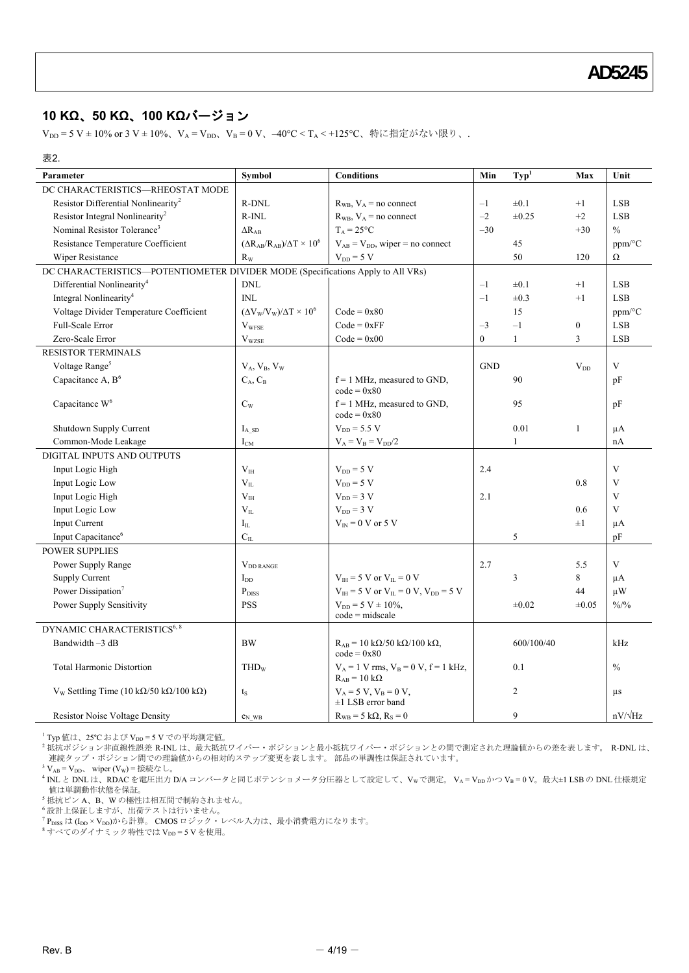#### **10 KΩ**、**50 KΩ**、**100 KΩ**バージョン

表2.

 $V_{DD} = 5 V \pm 10\%$  or 3 V  $\pm 10\%$ 、V<sub>A</sub> = V<sub>DD</sub>、V<sub>B</sub> = 0 V、-40°C < T<sub>A</sub> < +125°C、特に指定がない限り、.

| 20                                                                              |                                               |                                                                            |            |                  |                  |                                       |
|---------------------------------------------------------------------------------|-----------------------------------------------|----------------------------------------------------------------------------|------------|------------------|------------------|---------------------------------------|
| Parameter                                                                       | Symbol                                        | <b>Conditions</b>                                                          | Min        | Typ <sup>1</sup> | Max              | Unit                                  |
| DC CHARACTERISTICS-RHEOSTAT MODE                                                |                                               |                                                                            |            |                  |                  |                                       |
| Resistor Differential Nonlinearity <sup>2</sup>                                 | R-DNL                                         | $R_{WB}$ , $V_A$ = no connect                                              | $-1$       | $\pm 0.1$        | $+1$             | <b>LSB</b>                            |
| Resistor Integral Nonlinearity <sup>2</sup>                                     | R-INL                                         | $R_{WB}$ , $V_A$ = no connect                                              | $-2$       | $\pm 0.25$       | $+2$             | <b>LSB</b>                            |
| Nominal Resistor Tolerance <sup>3</sup>                                         | $\Delta R_{AB}$                               | $T_A = 25$ °C                                                              | $-30$      |                  | $+30$            | $\sqrt[0]{\mathstrut}_{\mathstrut 0}$ |
| Resistance Temperature Coefficient                                              | $(\Delta R_{AB}/R_{AB})/\Delta T \times 10^6$ | $V_{AB} = V_{DD}$ , wiper = no connect                                     |            | 45               |                  | ppm/°C                                |
| Wiper Resistance                                                                | $R_{\rm W}$                                   | $V_{DD} = 5 V$                                                             |            | 50               | 120              | $\Omega$                              |
| DC CHARACTERISTICS—POTENTIOMETER DIVIDER MODE (Specifications Apply to All VRs) |                                               |                                                                            |            |                  |                  |                                       |
| Differential Nonlinearity <sup>4</sup>                                          | <b>DNL</b>                                    |                                                                            | $-1$       | $\pm 0.1$        | $+1$             | <b>LSB</b>                            |
| Integral Nonlinearity <sup>4</sup>                                              | <b>INL</b>                                    |                                                                            | $-1$       | $\pm 0.3$        | $+1$             | <b>LSB</b>                            |
| Voltage Divider Temperature Coefficient                                         | $(\Delta V_W/V_W)/\Delta T \times 10^6$       | $Code = 0x80$                                                              |            | 15               |                  | $ppm$ <sup>o</sup> $C$                |
| Full-Scale Error                                                                | $V_{WFSE}$                                    | $Code = 0xFF$                                                              | $-3$       | $-1$             | $\boldsymbol{0}$ | <b>LSB</b>                            |
| Zero-Scale Error                                                                | <b>V</b> wzse                                 | $Code = 0x00$                                                              | $\theta$   | $\mathbf{1}$     | 3                | <b>LSB</b>                            |
| <b>RESISTOR TERMINALS</b>                                                       |                                               |                                                                            |            |                  |                  |                                       |
| Voltage Range <sup>5</sup>                                                      | $V_A$ , $V_B$ , $V_W$                         |                                                                            | <b>GND</b> |                  | $V_{DD}$         | V                                     |
| Capacitance A, B <sup>6</sup>                                                   | $C_A, C_B$                                    | $f = 1$ MHz, measured to GND,<br>$code = 0x80$                             |            | 90               |                  | pF                                    |
| Capacitance W <sup>6</sup>                                                      | $C_{W}$                                       | $f = 1$ MHz, measured to GND,<br>$code = 0x80$                             |            | 95               |                  | pF                                    |
| Shutdown Supply Current                                                         | $I_{ASD}$                                     | $V_{DD}$ = 5.5 V                                                           |            | 0.01             | $\mathbf{1}$     | μA                                    |
| Common-Mode Leakage                                                             | $I_{CM}$                                      | $V_A = V_B = V_{DD}/2$                                                     |            | $\mathbf{1}$     |                  | nA                                    |
| DIGITAL INPUTS AND OUTPUTS                                                      |                                               |                                                                            |            |                  |                  |                                       |
| Input Logic High                                                                | V <sub>IH</sub>                               | $V_{DD} = 5 V$                                                             | 2.4        |                  |                  | V                                     |
| Input Logic Low                                                                 | $V_{IL}$                                      | $V_{DD} = 5 V$                                                             |            |                  | 0.8              | V                                     |
| Input Logic High                                                                | $\rm V_{\rm IH}$                              | $V_{DD} = 3 V$                                                             | 2.1        |                  |                  | V                                     |
| Input Logic Low                                                                 | $V_{IL}$                                      | $V_{DD}$ = 3 V                                                             |            |                  | 0.6              | V                                     |
| Input Current                                                                   | $I_{IL}$                                      | $V_{IN}$ = 0 V or 5 V                                                      |            |                  | $\pm 1$          | μA                                    |
| Input Capacitance <sup>6</sup>                                                  | C <sub>II</sub>                               |                                                                            |            | 5                |                  | pF                                    |
| <b>POWER SUPPLIES</b>                                                           |                                               |                                                                            |            |                  |                  |                                       |
| Power Supply Range                                                              | $V_{DD\,RANGE}$                               |                                                                            | 2.7        |                  | 5.5              | V                                     |
| <b>Supply Current</b>                                                           | $I_{DD}$                                      | $V_{\text{IH}} = 5$ V or $V_{\text{IL}} = 0$ V                             |            | 3                | 8                | μA                                    |
| Power Dissipation <sup>7</sup>                                                  | $\mathbf{P}_{\mathrm{DISS}}$                  | $V_{IH} = 5 V$ or $V_{II} = 0 V$ , $V_{DD} = 5 V$                          |            |                  | 44               | $\mu$ W                               |
| Power Supply Sensitivity                                                        | <b>PSS</b>                                    | $V_{DD} = 5 V \pm 10\%,$<br>$code = midscale$                              |            | $\pm 0.02$       | $\pm 0.05$       | $\frac{0}{0}/\frac{0}{0}$             |
| DYNAMIC CHARACTERISTICS <sup>6, 8</sup>                                         |                                               |                                                                            |            |                  |                  |                                       |
| Bandwidth -3 dB                                                                 | <b>BW</b>                                     | $R_{AB}$ = 10 k $\Omega$ /50 k $\Omega$ /100 k $\Omega$ ,<br>$code = 0x80$ |            | 600/100/40       |                  | kHz                                   |
| <b>Total Harmonic Distortion</b>                                                | THD <sub>W</sub>                              | $V_A = 1$ V rms, $V_B = 0$ V, $f = 1$ kHz,<br>$R_{AB} = 10 k\Omega$        |            | 0.1              |                  | $\frac{0}{0}$                         |
| V <sub>w</sub> Settling Time (10 kΩ/50 kΩ/100 kΩ)                               | $t_{\rm S}$                                   | $V_A = 5 V$ , $V_B = 0 V$ ,<br>$\pm 1$ LSB error band                      |            | $\overline{2}$   |                  | $\mu s$                               |
| <b>Resistor Noise Voltage Density</b>                                           | $e_N$ w <sub>B</sub>                          | $R_{WB} = 5 k\Omega$ , $R_S = 0$                                           |            | 9                |                  | $nV/\sqrt{Hz}$                        |

<sup>1</sup> Typ 値は、25℃および V<sub>DD</sub> = 5 V での平均測定値。

<sup>2</sup> 抵抗ポジション非直線性誤差 R-INL は、最大抵抗ワイパー・ポジションと最小抵抗ワイパー・ポジションとの間で測定された理論値からの差を表します。 R-DNL は、 連続タップ・ポジション間での理論値からの相対的ステップ変更を表します。 部品の単調性は保証されています。

 $3 V_{AB} = V_{DD}$ , wiper  $(V_W) =$  接続なし。

<sup>4</sup> INL と DNL は、RDAC を電圧出力 D/A コンバータと同じポテンショメータ分圧器として設定して、V<sub>W</sub> で測定。 V<sub>A</sub> = V<sub>DD</sub>かつ V<sub>B</sub> = 0 V。最大±1 LSB の DNL 仕様規定 値は単調動作状態を保証。

 $^5$ 抵抗ピン A、B、W の極性は相互間で制約されません。

<sup>6</sup> 設計上保証しますが、出荷テストは行いません。<br><sup>7</sup> P<sub>DISS</sub> は (I<sub>DD</sub> × V<sub>DD</sub>)から計算。 CMOS ロジック・レベル入力は、最小消費電力になります。

8 すべてのダイナミック特性では V<sub>DD</sub>=5Vを使用。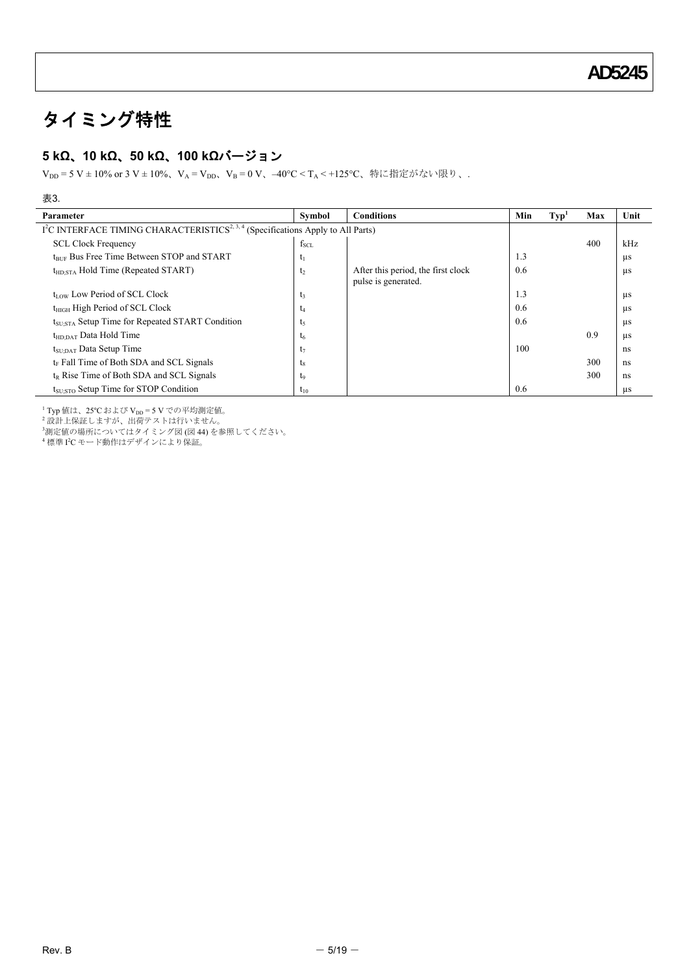## タイミング特性

## **5 kΩ**、**10 kΩ**、**50 kΩ**、**100 kΩ**バージョン

 $V_{DD} = 5 V \pm 10\%$  or 3 V  $\pm 10\%$ 、V<sub>A</sub> = V<sub>DD</sub>、V<sub>B</sub> = 0 V、-40°C < T<sub>A</sub> < +125°C、特に指定がない限り、.

| 表3.                                                                                                      |               |                                                           |     |      |     |      |
|----------------------------------------------------------------------------------------------------------|---------------|-----------------------------------------------------------|-----|------|-----|------|
| Parameter                                                                                                | Symbol        | <b>Conditions</b>                                         | Min | Typ' | Max | Unit |
| I <sup>2</sup> C INTERFACE TIMING CHARACTERISTICS <sup>2, 3, 4</sup> (Specifications Apply to All Parts) |               |                                                           |     |      |     |      |
| <b>SCL Clock Frequency</b>                                                                               | $f_{\rm SCL}$ |                                                           |     |      | 400 | kHz  |
| t <sub>RUF</sub> Bus Free Time Between STOP and START                                                    | $\iota_1$     |                                                           | 1.3 |      |     | μs   |
| $t_{HD:STA}$ Hold Time (Repeated START)                                                                  | $t_2$         | After this period, the first clock<br>pulse is generated. | 0.6 |      |     | μs   |
| $t_{\text{low}}$ Low Period of SCL Clock                                                                 | $t_3$         |                                                           | 1.3 |      |     | μs   |
| $t_{\text{HIGH}}$ High Period of SCL Clock                                                               | $L_4$         |                                                           | 0.6 |      |     | us   |
| t <sub>SU:STA</sub> Setup Time for Repeated START Condition                                              | t5            |                                                           | 0.6 |      |     | us   |
| t <sub>HD:DAT</sub> Data Hold Time                                                                       | $t_6$         |                                                           |     |      | 0.9 | us   |
| $t_{\text{SUP}}$ Data Setup Time                                                                         | $t_7$         |                                                           | 100 |      |     | ns   |
| $t_F$ Fall Time of Both SDA and SCL Signals                                                              | $t_8$         |                                                           |     |      | 300 | ns   |
| $t_R$ Rise Time of Both SDA and SCL Signals                                                              | t,            |                                                           |     |      | 300 | ns   |
| t <sub>SU:STO</sub> Setup Time for STOP Condition                                                        | $L_{10}$      |                                                           | 0.6 |      |     | μs   |

<sup>1</sup> Typ 値は、25℃および V<sub>DD</sub> = 5 V での平均測定値。

<sup>2</sup> 設計上保証しますが、出荷テストは行いません。 3 測定値の場所についてはタイミング図 (図 44) を参照してください。

<sup>4</sup> 標準 I 2 C モード動作はデザインにより保証。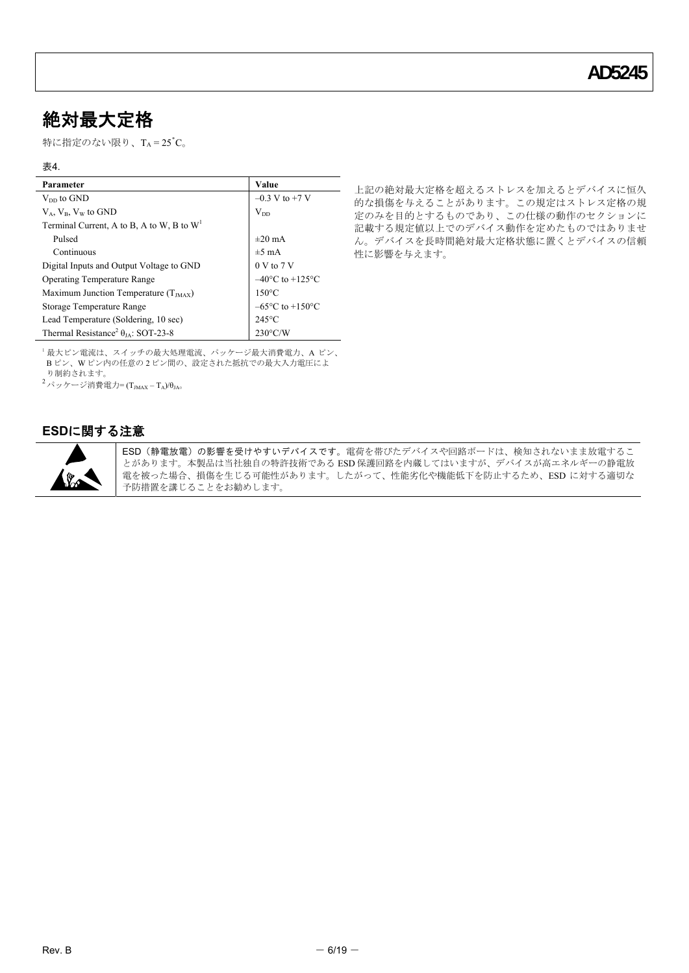## 絶対最大定格

特に指定のない限り、 $T_A = 25^{\circ}C_{\circ}$ 

#### 表4.

| Parameter                                                | Value                                |
|----------------------------------------------------------|--------------------------------------|
| $V_{DD}$ to GND                                          | $-0.3$ V to +7 V                     |
| $V_A$ , $V_B$ , $V_W$ to GND                             | $\rm V_{DD}$                         |
| Terminal Current, A to B, A to W, B to $W1$              |                                      |
| Pulsed                                                   | $\pm 20$ mA                          |
| Continuous                                               | $\pm 5$ mA                           |
| Digital Inputs and Output Voltage to GND                 | 0 V to 7 V                           |
| <b>Operating Temperature Range</b>                       | $-40^{\circ}$ C to +125 $^{\circ}$ C |
| Maximum Junction Temperature $(T_{JMAX})$                | $150^{\circ}$ C                      |
| Storage Temperature Range                                | $-65^{\circ}$ C to $+150^{\circ}$ C  |
| Lead Temperature (Soldering, 10 sec)                     | $245^{\circ}$ C                      |
| Thermal Resistance <sup>2</sup> $\theta_{IA}$ : SOT-23-8 | $230^{\circ}$ C/W                    |

上記の絶対最大定格を超えるストレスを加えるとデバイスに恒久 的な損傷を与えることがあります。この規定はストレス定格の規 定のみを目的とするものであり、この仕様の動作のセクションに 記載する規定値以上でのデバイス動作を定めたものではありませ ん。デバイスを長時間絶対最大定格状態に置くとデバイスの信頼 性に影響を与えます。

<sup>1</sup> 最大ピン電流は、スイッチの最大処理電流、パッケージ最大消費電力、A ピン、 B ピン、W ピン内の任意の 2 ピン間の、設定された抵抗での最大入力電圧によ り制約されます。

 $^2$ パッケージ消費電力= (T $_{\text{JMAX}}$  – T $_{\text{A}}$ )/ $\theta_{\text{JAo}}$ 

### <span id="page-5-0"></span>**ESD**に関する注意



ESD(静電放電)の影響を受けやすいデバイスです。電荷を帯びたデバイスや回路ボードは、検知されないまま放電するこ とがあります。本製品は当社独自の特許技術である ESD 保護回路を内蔵してはいますが、デバイスが高エネルギーの静電放 電を被った場合、損傷を生じる可能性があります。したがって、性能劣化や機能低下を防止するため、ESD に対する適切な 予防措置を講じることをお勧めします。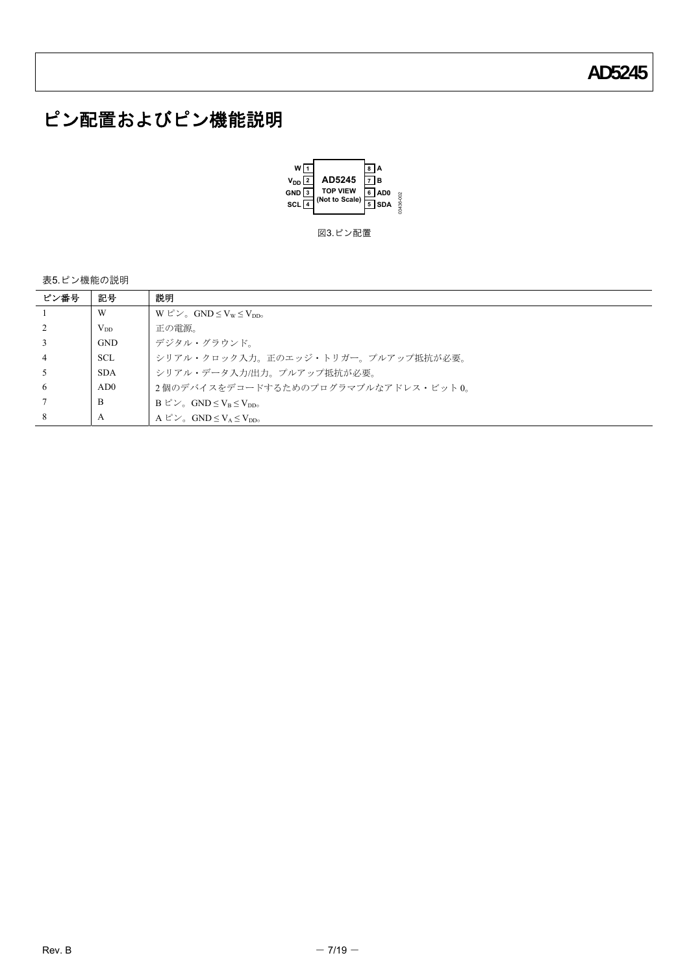## ピン配置およびピン機能説明



## 表5.ピン機能の説明

| ピン番号 | 記号              | 説明                                                                                          |
|------|-----------------|---------------------------------------------------------------------------------------------|
|      | W               | $W \n\stackrel{\circ}{\sim} \mathcal{S}$ GND $\leq$ V <sub>W</sub> $\leq$ V <sub>DD</sub> . |
|      | $V_{DD}$        | 正の電源。                                                                                       |
|      | <b>GND</b>      | デジタル・グラウンド。                                                                                 |
| 4    | <b>SCL</b>      | シリアル・クロック入力。正のエッジ・トリガー。プルアップ抵抗が必要。                                                          |
|      | <b>SDA</b>      | シリアル・データ入力/出力。プルアップ抵抗が必要。                                                                   |
| 6    | AD <sub>0</sub> | 2個のデバイスをデコードするためのプログラマブルなアドレス・ビット0。                                                         |
|      | B               | $B \tL^2 \tL$ GND $\leq V_B \leq V_{DD_0}$                                                  |
| 8    | A               | A $E^2 \mathcal{V}$ GND $\leq V_A \leq V_{DD_0}$                                            |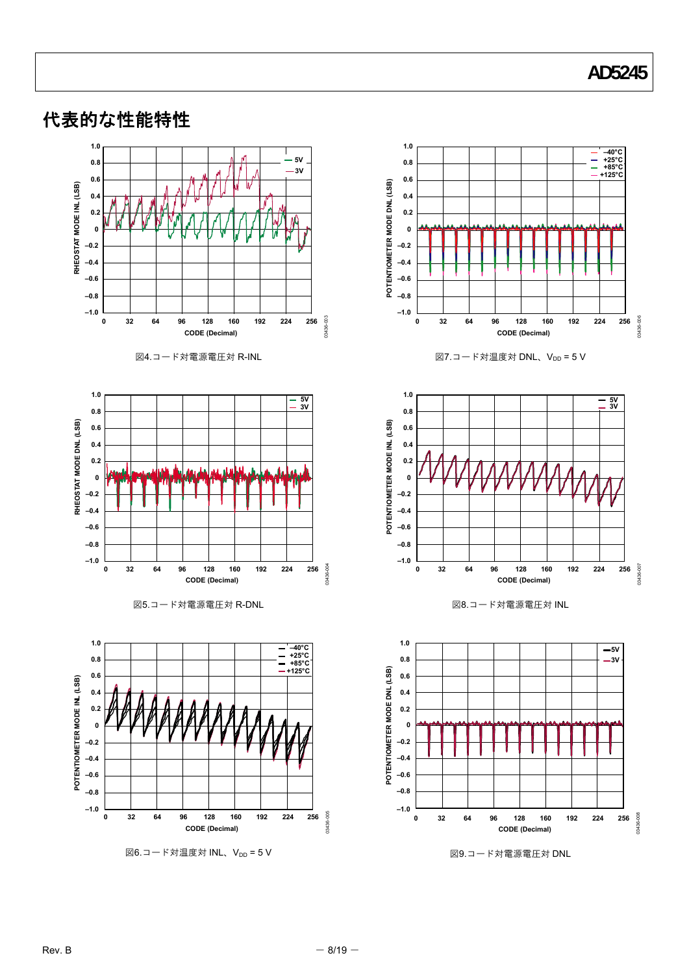

## 代表的な性能特性

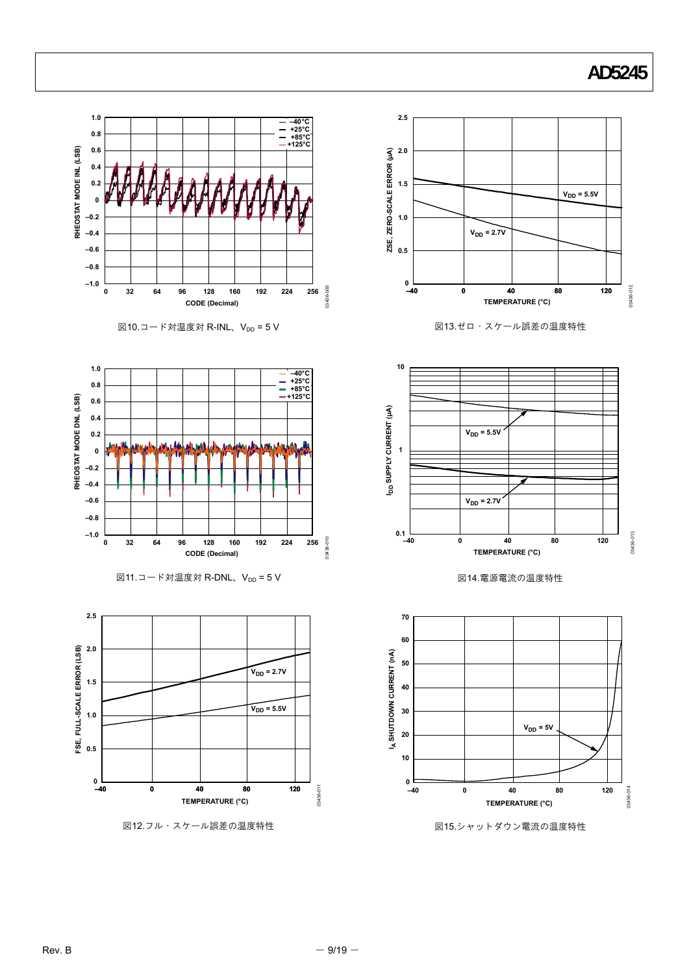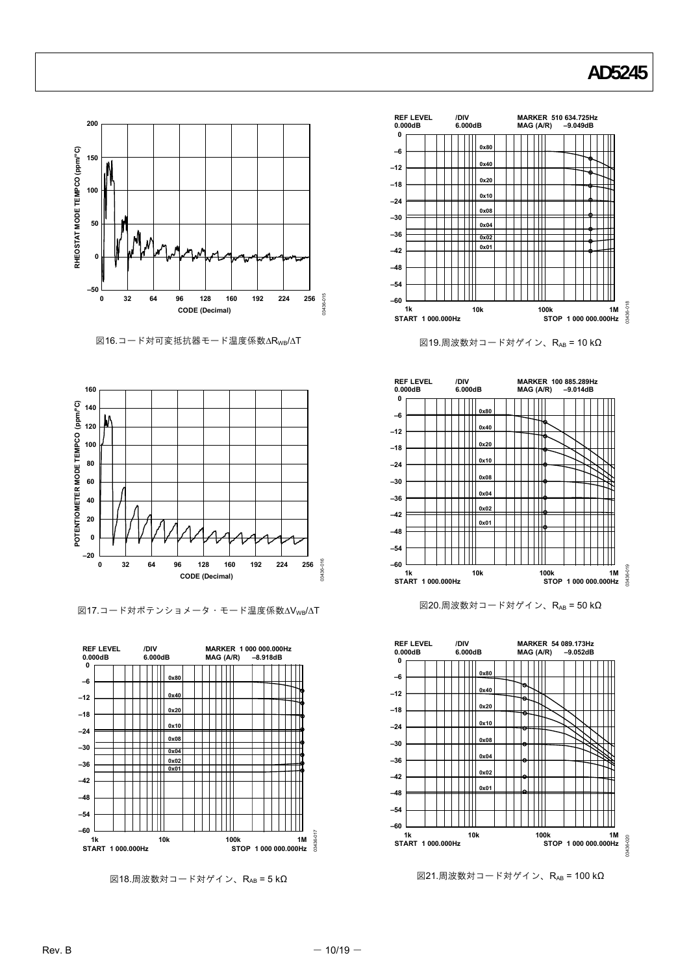

図16.コード対可変抵抗器モード温度係数△RwB/ΔT



図17.コード対ポテンショメータ·モード温度係数△VwB/△T



図18.周波数対コード対ゲイン、 $R_{AB}$  = 5 kΩ



 $\boxtimes$  19.周波数対コード対ゲイン、RAB = 10 kΩ







 $\boxtimes$ 21.周波数対コード対ゲイン、RAB = 100 kΩ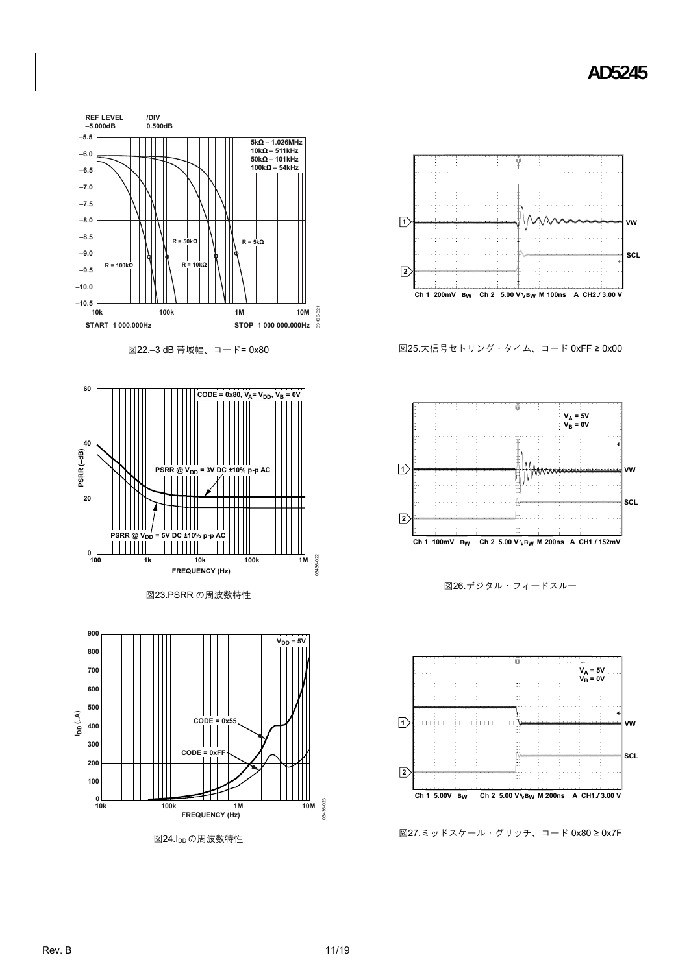**VW**

**SCL**

**VW**

**SCL**

**VW**

**SCL**

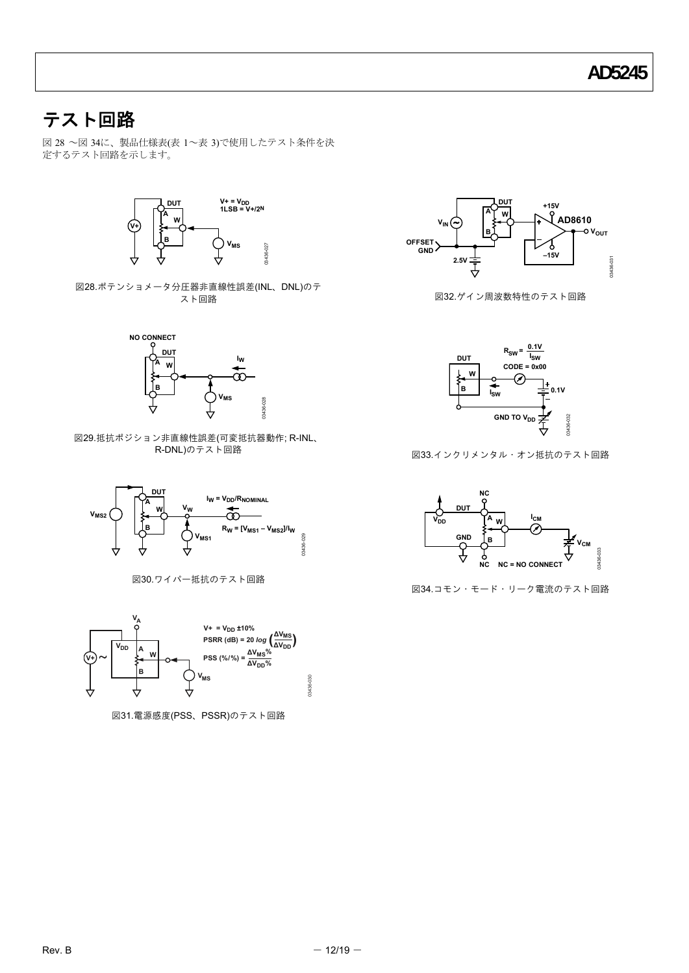## <span id="page-11-0"></span>テスト回路

図 [28](#page-11-1) [~図](#page-11-2) 34に、製品仕様表([表](#page-2-2) 1[~表](#page-2-2) 3)で使用したテスト条件を決 定するテスト回路を示します。



<span id="page-11-1"></span>図28.ポテンショメータ分圧器非直線性誤差(INL、DNL)のテ スト回路



図29.抵抗ポジション非直線性誤差(可変抵抗器動作; R-INL、 R-DNL)のテスト回路



図30.ワイパー抵抗のテスト回路

<span id="page-11-2"></span>

図31.電源感度(PSS、PSSR)のテスト回路



図32.ゲイン周波数特性のテスト回路



図33.インクリメンタル・オン抵抗のテスト回路



図34.コモン・モード・リーク電流のテスト回路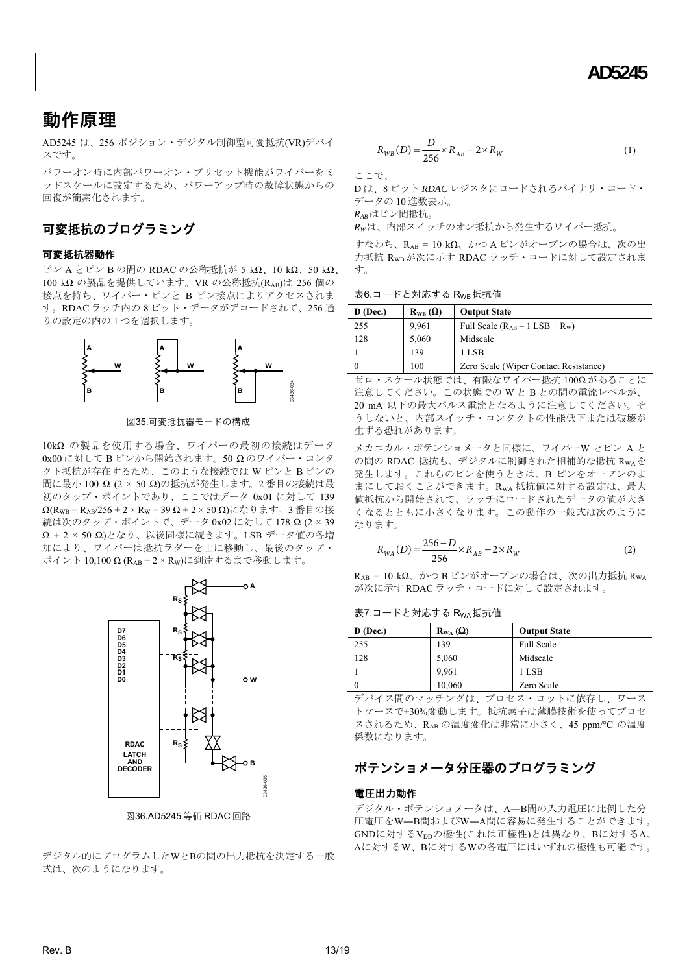## <span id="page-12-0"></span>動作原理

AD5245 は、256 ポジション・デジタル制御型可変抵抗(VR)デバイ スです。

パワーオン時に内部パワーオン・プリセット機能がワイパーをミ ッドスケールに設定するため、パワーアップ時の故障状態からの 回復が簡素化されます。

## <span id="page-12-1"></span>可変抵抗のプログラミング

#### 可変抵抗器動作

ピン A とピン B の間の RDAC の公称抵抗が 5 kΩ、10 kΩ、50 kΩ、 100 kΩ の製品を提供しています。VR の公称抵抗(RAB)は 256 個の 接点を持ち、ワイパー・ピンと B ピン接点によりアクセスされま す。RDAC ラッチ内の 8 ビット・データがデコードされて、256 通 りの設定の内の 1 つを選択します。



図35.可変抵抗器モードの構成

10kΩ の製品を使用する場合、ワイパーの最初の接続はデータ 0x00 に対して B ピンから開始されます。50 Ω のワイパー・コンタ クト抵抗が存在するため、このような接続では W ピンと B ピンの 間に最小 100 Ω (2 × 50 Ω)の抵抗が発生します。2 番目の接続は最 初のタップ・ポイントであり、ここではデータ 0x01 に対して 139  $\Omega$ (R<sub>WB</sub> = R<sub>AB</sub>/256 + 2 × R<sub>W</sub> = 39 Ω + 2 × 50 Ω)になります。3 番目の接 続は次のタップ・ポイントで、データ 0x02 に対して 178 Ω (2 × 39  $\Omega$  + 2 × 50  $\Omega$ )となり、以後同様に続きます。LSB データ値の各増 加により、ワイパーは抵抗ラダーを上に移動し、最後のタップ・  $\mathcal{R}$  イント 10,100 Ω (RAB + 2 × Rw)に到達するまで移動します。



図36.AD5245 等価 RDAC 回路

<span id="page-12-2"></span>デジタル的にプログラムしたWとBの間の出力抵抗を決定する一般 式は、次のようになります。

$$
R_{WB}(D) = \frac{D}{256} \times R_{AB} + 2 \times R_{W}
$$
 (1)

ここで、

D は、8 ビット *RDAC* レジスタにロードされるバイナリ・コード・ データの 10 進数表示。

*RAB*はピン間抵抗。

*RW*は、内部スイッチのオン抵抗から発生するワイパー抵抗。

すなわち、RAB = 10 kΩ、かつ A ピンがオープンの場合は、次の出 力抵抗 RWBが次に示す RDAC ラッチ・コードに対して設定されま す。

|  |  |  |  | 表6.コードと対応する RwB抵抗値 |
|--|--|--|--|--------------------|
|--|--|--|--|--------------------|

| $D$ (Dec.) | $R_{WB}(\Omega)$ | <b>Output State</b>                         |
|------------|------------------|---------------------------------------------|
| 255        | 9,961            | Full Scale $(R_{AB} - 1 \text{ LSB} + R_W)$ |
| 128        | 5,060            | Midscale                                    |
|            | 139              | 1 LSB                                       |
|            | 100              | Zero Scale (Wiper Contact Resistance)       |

ゼロ・スケール状態では、有限なワイパー抵抗 100Ω があることに 注意してください。この状態での W と B との間の電流レベルが、 20 mA 以下の最大パルス電流となるように注意してください。そ うしないと、内部スイッチ・コンタクトの性能低下または破壊が 生ずる恐れがあります。

メカニカル・ポテンショメータと同様に、ワイパーW とピン A と の間の RDAC 抵抗も、デジタルに制御された相補的な抵抗 RwAを 発生します。これらのピンを使うときは、B ピンをオープンのま まにしておくことができます。RWA 抵抗値に対する設定は、最大 値抵抗から開始されて、ラッチにロードされたデータの値が大き くなるとともに小さくなります。この動作の一般式は次のように なります。

$$
R_{WA}(D) = \frac{256 - D}{256} \times R_{AB} + 2 \times R_{W}
$$
 (2)

 $R_{AB}$  = 10 kΩ、かつ B ピンがオープンの場合は、次の出力抵抗  $R_{WA}$ が次に示す RDAC ラッチ・コードに対して設定されます。

表 $7.1 - K$ と対応する  $R_{WA}$ 抵抗値

| $D$ (Dec.) | $R_{WA}(\Omega)$ | <b>Output State</b> |
|------------|------------------|---------------------|
| 255        | 139              | <b>Full Scale</b>   |
| 128        | 5,060            | Midscale            |
|            | 9,961            | 1 LSB               |
| $\theta$   | 10,060           | Zero Scale          |

デバイス間のマッチングは、プロセス・ロットに依存し、ワース トケースで±30%変動します。抵抗素子は薄膜技術を使ってプロセ スされるため、RAB の温度変化は非常に小さく、45 ppm/°C の温度 係数になります。

## ポテンショメータ分圧器のプログラミング

#### 電圧出力動作

デジタル・ポテンショメータは、A―B間の入力電圧に比例した分 圧電圧をW―B間およびW―A間に容易に発生することができます。 GNDに対するVppの極性(これは正極性)とは異なり、Bに対するA、 Aに対するW、Bに対するWの各電圧にはいずれの極性も可能です。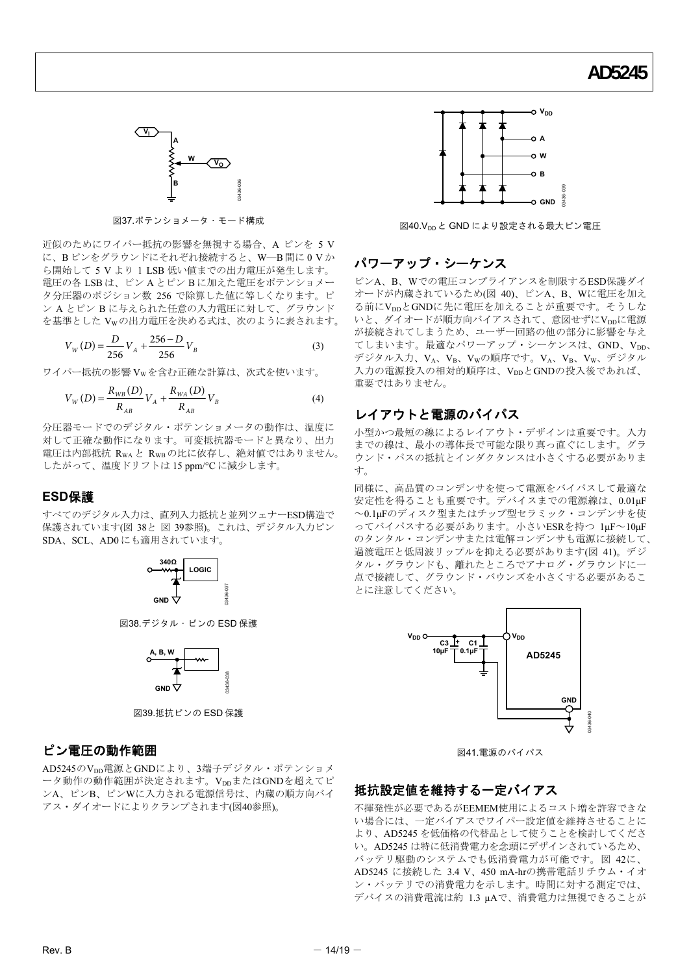

図37.ポテンショメータ・モード構成

<span id="page-13-7"></span><span id="page-13-2"></span>近似のためにワイパー抵抗の影響を無視する場合、A ピンを 5 V に、B ピンをグラウンドにそれぞれ接続すると、W―B 間に 0 V か ら開始して 5 V より 1 LSB 低い値までの出力電圧が発生します。 電圧の各 LSB は、ピン A とピン B に加えた電圧をポテンショメー タ分圧器のポジション数 256 で除算した値に等しくなります。ピ ン A とピン B に与えられた任意の入力電圧に対して、グラウンド を基準とした VWの出力電圧を決める式は、次のように表されます。

$$
V_W(D) = \frac{D}{256} V_A + \frac{256 - D}{256} V_B
$$
 (3)

ワイパー抵抗の影響 Vwを含む正確な計算は、次式を使います。

$$
V_{W}(D) = \frac{R_{WB}(D)}{R_{AB}} V_{A} + \frac{R_{WA}(D)}{R_{AB}} V_{B}
$$
(4)

<span id="page-13-3"></span>分圧器モードでのデジタル・ポテンショメータの動作は、温度に 対して正確な動作になります。可変抵抗器モードと異なり、出力 電圧は内部抵抗  $R_{WA}$ と  $R_{WB}$ の比に依存し、絶対値ではありません。 したがって、温度ドリフトは 15 ppm/°C に減少します。

#### <span id="page-13-0"></span>**ESD**保護

<span id="page-13-5"></span>すべてのデジタル入力は、直列入力抵抗と並列ツェナーESD構造で 保護されています([図](#page-13-5) 38と [図](#page-13-6) 39参照)。これは、デジタル入力ピン SDA、SCL、AD0 にも適用されています。



図38.デジタル・ピンの ESD 保護



図39.抵抗ピンの ESD 保護

#### <span id="page-13-8"></span><span id="page-13-6"></span><span id="page-13-1"></span>ピン電圧の動作範囲

<span id="page-13-4"></span>AD5245のV<sub>DD</sub>電源とGNDにより、3端子デジタル・ポテンショメ ータ動作の動作範囲が決定されます。VppまたはGNDを超えてピ ンA、ピンB、ピンWに入力される電源信号は、内蔵の順方向バイ アス・ダイオードによりクランプされます([図](#page-13-7)40参照)。



図40.V<sub>DD</sub>と GND により設定される最大ピン電圧

#### パワーアップ・シーケンス

ピンA、B、Wでの電圧コンプライアンスを制限するESD保護ダイ オードが内蔵されているため([図](#page-13-7) 40)、ピンA、B、Wに電圧を加え る前にVDDとGNDに先に電圧を加えることが重要です。そうしな いと、ダイオードが順方向バイアスされて、意図せずにVppに電源 が接続されてしまうため、ユーザー回路の他の部分に影響を与え てしまいます。最適なパワーアップ・シーケンスは、GND、VDD、 デジタル入力、VA、VB、Vwの順序です。VA、VB、Vw、デジタル 入力の電源投入の相対的順序は、VppとGNDの投入後であれば、 重要ではありません。

#### レイアウトと電源のバイパス

小型かつ最短の線によるレイアウト・デザインは重要です。入力 までの線は、最小の導体長で可能な限り真っ直ぐにします。グラ ウンド・パスの抵抗とインダクタンスは小さくする必要がありま す。

同様に、高品質のコンデンサを使って電源をバイパスして最適な 安定性を得ることも重要です。デバイスまでの電源線は、0.01μF ~0.1μFのディスク型またはチップ型セラミック・コンデンサを使 ってバイパスする必要があります。小さいESRを持つ 1μF~10μF のタンタル・コンデンサまたは電解コンデンサも電源に接続して、 過渡電圧と低周波リップルを抑える必要があります([図](#page-13-8) 41)。デジ タル・グラウンドも、離れたところでアナログ・グラウンドに一 点で接続して、グラウンド・バウンズを小さくする必要があるこ とに注意してください。



図41.電源のバイパス

#### 抵抗設定値を維持する一定バイアス

不揮発性が必要であるがEEMEM使用によるコスト増を許容できな い場合には、一定バイアスでワイパー設定値を維持させることに より、AD5245 を低価格の代替品として使うことを検討してくださ い。AD5245 は特に低消費電力を念頭にデザインされているため、 バッテリ駆動のシステムでも低消費電力が可能です。[図](#page-14-1) 42に、 AD5245 に接続した 3.4 V、450 mA-hrの携帯電話リチウム・イオ ン・バッテリでの消費電力を示します。時間に対する測定では、 デバイスの消費電流は約 1.3 µAで、消費電力は無視できることが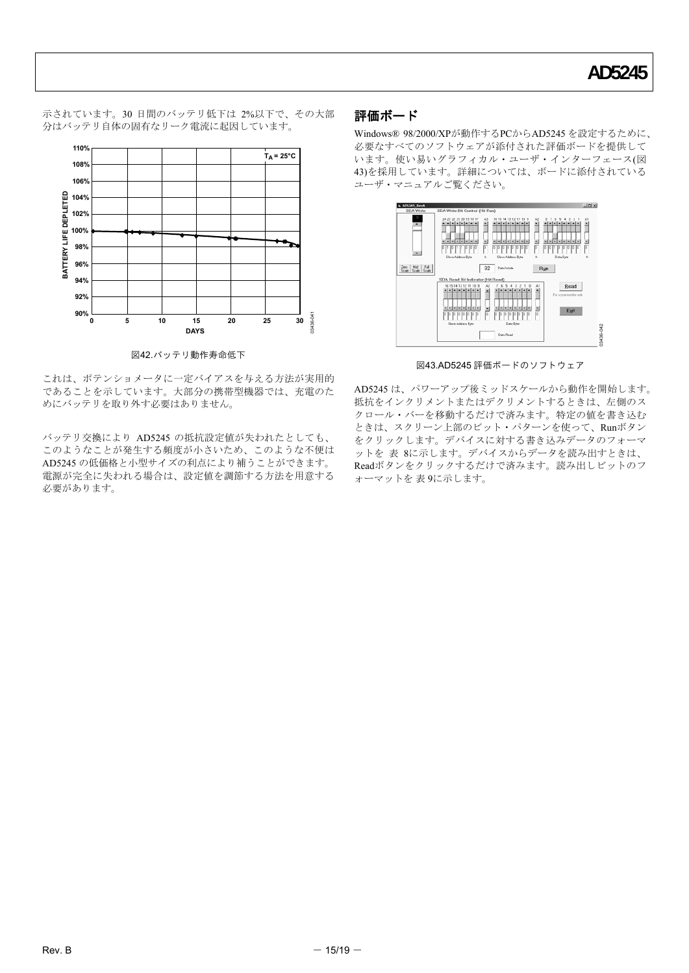<span id="page-14-0"></span>示されています。30 日間のバッテリ低下は 2%以下で、その大部 分はバッテリ自体の固有なリーク電流に起因しています。



図42.バッテリ動作寿命低下

<span id="page-14-2"></span><span id="page-14-1"></span>これは、ポテンショメータに一定バイアスを与える方法が実用的 であることを示しています。大部分の携帯型機器では、充電のた めにバッテリを取り外す必要はありません。

バッテリ交換により AD5245 の抵抗設定値が失われたとしても、 このようなことが発生する頻度が小さいため、このような不便は AD5245 の低価格と小型サイズの利点により補うことができます。 電源が完全に失われる場合は、設定値を調節する方法を用意する 必要があります。

#### 評価ボード

Windows® 98/2000/XPが動作するPCからAD5245 を設定するために、 必要なすべてのソフトウェアが添付された評価ボードを提供して います。使い易いグラフィカル・ユーザ・インターフェース([図](#page-14-2) [43\)](#page-14-2)を採用しています。詳細については、ボードに添付されている ユーザ・マニュアルご覧ください。



図43.AD5245 評価ボードのソフトウェア

AD5245 は、パワーアップ後ミッドスケールから動作を開始します。 抵抗をインクリメントまたはデクリメントするときは、左側のス クロール・バーを移動するだけで済みます。特定の値を書き込む ときは、スクリーン上部のビット・パターンを使って、Runボタン をクリックします。デバイスに対する書き込みデータのフォーマ ットを [表](#page-16-0) 8に示します。デバイスからデータを読み出すときは、 Readボタンをクリックするだけで済みます。読み出しビットのフ ォーマットを [表](#page-16-1) 9に示します。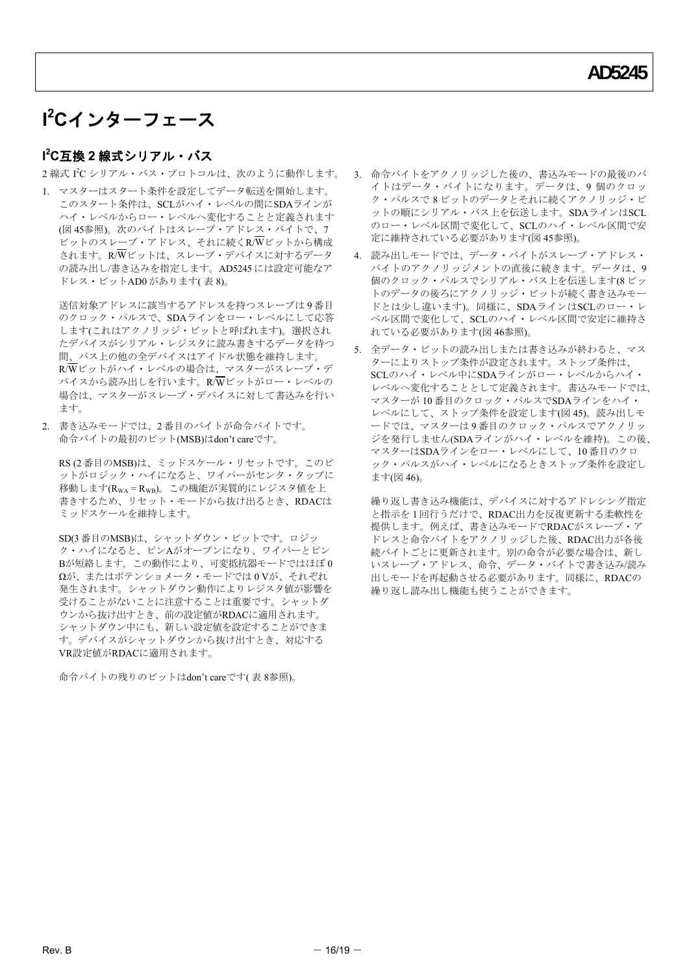## <span id="page-15-0"></span>**I 2 C**インターフェース

#### <span id="page-15-1"></span>**I 2 C**互換 **2** 線式シリアル・バス

2 線式 I<sup>2</sup>C シリアル・バス・プロトコルは、次のように動作します。

1. マスターはスタート条件を設定してデータ転送を開始します。 このスタート条件は、SCLがハイ・レベルの間にSDAラインが ハイ・レベルからロー・レベルへ変化することと定義されます ([図](#page-16-2) 45参照)。次のバイトはスレーブ・アドレス・バイトで、7 ビットのスレーブ・アドレス、それに続くR/Wビットから構成 されます。R/Wビットは、スレーブ・デバイスに対するデータ の読み出し/書き込みを指定します。AD5245 には設定可能なア ドレス・ビットAD0 があります( [表](#page-16-0) 8)。

送信対象アドレスに該当するアドレスを持つスレーブは 9 番目 のクロック・パルスで、SDAラインをロー・レベルにして応答 します(これはアクノリッジ・ビットと呼ばれます)。選択され たデバイスがシリアル・レジスタに読み書きするデータを待つ 間、バス上の他の全デバイスはアイドル状態を維持します。 R/Wビットがハイ・レベルの場合は、マスターがスレーブ・デ バイスから読み出しを行います。R/Wビットがロー・レベルの 場合は、マスターがスレーブ・デバイスに対して書込みを行い ます。

2. 書き込みモードでは、2 番目のバイトが命令バイトです。 命令バイトの最初のビット(MSB)はdon't careです。

RS (2 番目のMSB)は、ミッドスケール・リセットです。このビ ットがロジック・ハイになると、ワイパーがセンタ・タップに 移動します(RWA = RWB)。この機能が実質的にレジスタ値を上 書きするため、リセット・モードから抜け出るとき、RDACは ミッドスケールを維持します。

SD(3 番目のMSB)は、シャットダウン・ビットです。ロジッ ク・ハイになると、ピンAがオープンになり、ワイパーとピン Bが短絡します。この動作により、可変抵抗器モードではほぼ 0 Ωが、またはポテンショメータ・モードでは 0 Vが、それぞれ 発生されます。シャットダウン動作によりレジスタ値が影響を 受けることがないことに注意することは重要です。シャットダ ウンから抜け出すとき、前の設定値がRDACに適用されます。 シャットダウン中にも、新しい設定値を設定することができま す。デバイスがシャットダウンから抜け出すとき、対応する VR設定値がRDACに適用されます。

命令バイトの残りのビットはdon't careです( [表](#page-16-0) 8参照)。

- 3. 命令バイトをアクノリッジした後の、書込みモードの最後のバ イトはデータ・バイトになります。データは、9 個のクロッ ク・パルスで 8 ビットのデータとそれに続くアクノリッジ・ビ ットの順にシリアル・バス上を伝送します。SDAラインはSCL のロー・レベル区間で変化して、SCLのハイ・レベル区間で安 定に維持されている必要があります([図](#page-16-2) 45参照)。
- 4. 読み出しモードでは、データ・バイトがスレーブ・アドレス・ バイトのアクノリッジメントの直後に続きます。データは、9 個のクロック・パルスでシリアル・バス上を伝送します(8 ビッ トのデータの後ろにアクノリッジ・ビットが続く書き込みモー ドとは少し違います)。同様に、SDAラインはSCLのロー・レ ベル区間で変化して、SCLのハイ・レベル区間で安定に維持さ れている必要があります([図](#page-16-3) 46参照)。
- 5. 全データ・ビットの読み出しまたは書き込みが終わると、マス ターによりストップ条件が設定されます。ストップ条件は、 SCLのハイ・レベル中にSDAラインがロー・レベルからハイ・ レベルへ変化することとして定義されます。書込みモードでは、 マスターが 10 番目のクロック・パルスでSDAラインをハイ・ レベルにして、ストップ条件を設定します([図](#page-16-2) 45)。読み出しモ ードでは、マスターは 9 番目のクロック・パルスでアクノリッ ジを発行しません(SDAラインがハイ・レベルを維持)。この後、 マスターはSDAラインをロー・レベルにして、10 番目のクロ ック・パルスがハイ・レベルになるときストップ条件を設定し ます([図](#page-16-3) 46)。

繰り返し書き込み機能は、デバイスに対するアドレシング指定 と指示を 1 回行うだけで、RDAC出力を反復更新する柔軟性を 提供します。例えば、書き込みモードでRDACがスレーブ・ア ドレスと命令バイトをアクノリッジした後、RDAC出力が各後 続バイトごとに更新されます。別の命令が必要な場合は、新し いスレーブ・アドレス、命令、データ・バイトで書き込み/読み 出しモードを再起動させる必要があります。同様に、RDACの 繰り返し読み出し機能も使うことができます。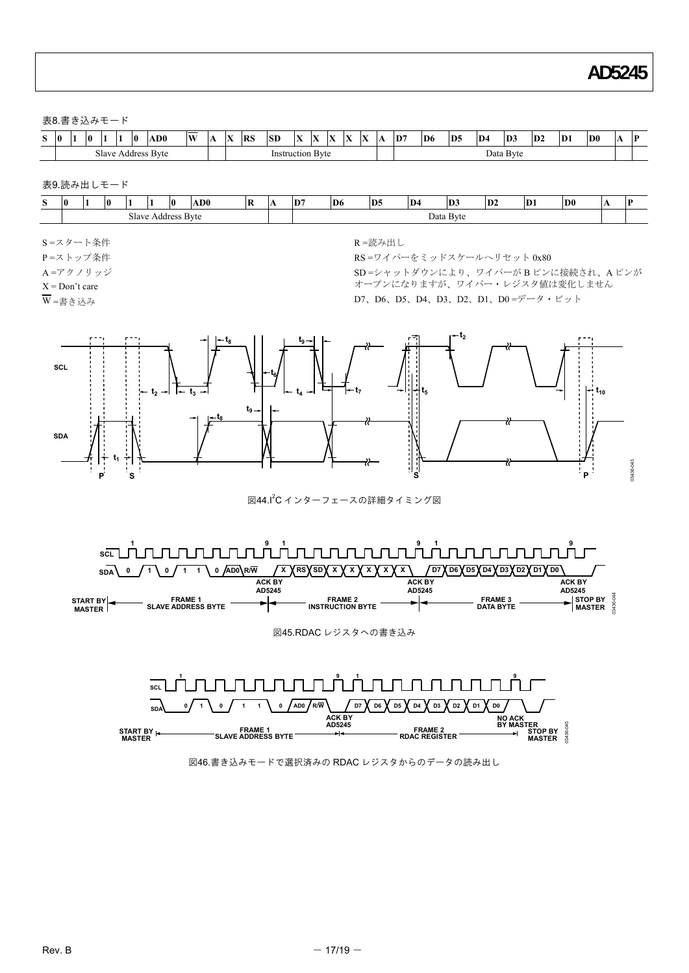表8.書き込みモード

| $\sim$<br>້ | 10                    |  | 10 |  |  | 10 | AD0                 | W | -43 | <b>RS</b> | <b>SD</b> | 130<br>LЛ | Ιv<br>$\Delta$ | 136<br>L 4 | . |  | . | D. | D <sub>6</sub> | D. | D <sub>4</sub> | <b>The Contract of the Contract of the Contract of the Contract of the Contract of the Contract of the Contract of the Contract of The Contract of The Contract of The Contract of The Contract of The Contract of The Contract </b><br>. | D. | ID <sub>1</sub> | $\mathbf{D}$ | A | m |
|-------------|-----------------------|--|----|--|--|----|---------------------|---|-----|-----------|-----------|-----------|----------------|------------|---|--|---|----|----------------|----|----------------|-------------------------------------------------------------------------------------------------------------------------------------------------------------------------------------------------------------------------------------------|----|-----------------|--------------|---|---|
|             | . Jave<br>idress<br>ᆪ |  |    |  |  |    | Instruction<br>Byte |   |     |           |           |           | Data Byte      |            |   |  |   |    |                |    |                |                                                                                                                                                                                                                                           |    |                 |              |   |   |

<span id="page-16-1"></span>表9.読み出しモード

| $\sim$<br>P | Ю                                                     |  | 10 |  |  | 10 | A D0 | . .<br>ш | .                              | D | D <sub>6</sub> | D. | $D^2$ | D. | D. | D | $\mathbf{D}$ | . . |  |
|-------------|-------------------------------------------------------|--|----|--|--|----|------|----------|--------------------------------|---|----------------|----|-------|----|----|---|--------------|-----|--|
|             | $\sim$<br>$\sim$ 1<br><b>Byte</b><br>Slave<br>Address |  |    |  |  |    |      |          | Data<br>$\mathbf{r}$<br>. Byte |   |                |    |       |    |    |   |              |     |  |

S =スタート条件 P =ストップ条件 A =アクノリッジ  $X = Don't care$ 

W =書き込み

R =読み出し

RS =ワイパーをミッドスケールへリセット 0x80

SD =シャットダウンにより、ワイパーが B ピンに接続され、A ピンが オープンになりますが、ワイパー・レジスタ値は変化しません

D7、D6、D5、D4、D3、D2、D1、D0 =データ・ビット



図44.I<sup>2</sup>C インターフェースの詳細タイミング図

<span id="page-16-2"></span>

図45.RDAC レジスタへの書き込み

<span id="page-16-3"></span><span id="page-16-0"></span>

図46.書き込みモードで選択済みの RDAC レジスタからのデータの読み出し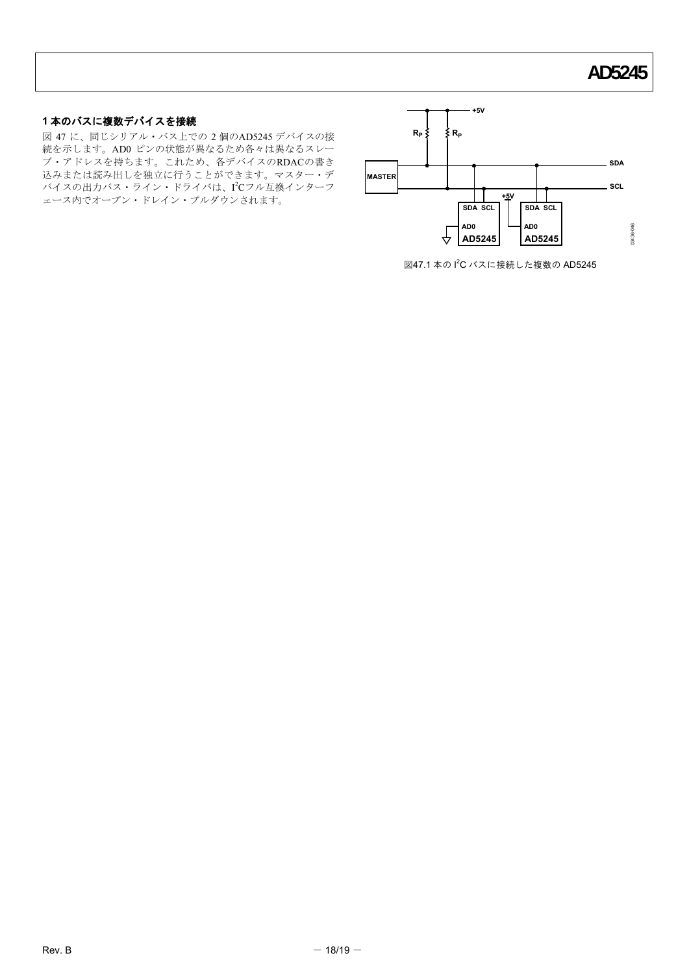#### **1** 本のバスに複数デバイスを接続

<span id="page-17-0"></span>図 [47](#page-17-0) に、同じシリアル・バス上での 2 個のAD5245 デバイスの接 続を示します。AD0 ピンの状態が異なるため各々は異なるスレー ブ・アドレスを持ちます。これため、各デバイスのRDACの書き 込みまたは読み出しを独立に行うことができます。マスター・デ バイスの出力バス・ライン・ドライバは、I2Cフル互換インターフ ェース内でオープン・ドレイン・プルダウンされます。



図47.1 本の I<sup>2</sup>C バスに接続した複数の AD5245